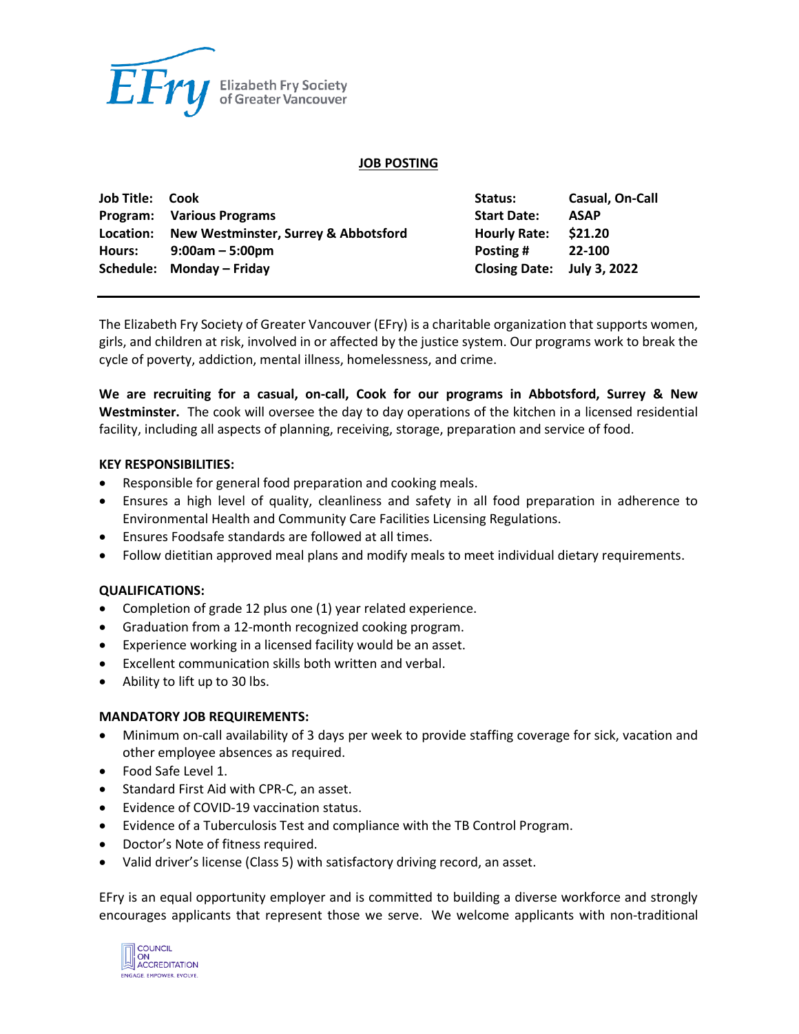

### **JOB POSTING**

| <b>Job Title: Cook</b> |                                                | Status:                    | Casual, On-Call |
|------------------------|------------------------------------------------|----------------------------|-----------------|
|                        | Program: Various Programs                      | <b>Start Date:</b>         | <b>ASAP</b>     |
|                        | Location: New Westminster, Surrey & Abbotsford | <b>Hourly Rate:</b>        | \$21.20         |
| Hours:                 | $9:00am - 5:00pm$                              | Posting #                  | 22-100          |
|                        | Schedule: Monday - Friday                      | Closing Date: July 3, 2022 |                 |

The Elizabeth Fry Society of Greater Vancouver (EFry) is a charitable organization that supports women, girls, and children at risk, involved in or affected by the justice system. Our programs work to break the cycle of poverty, addiction, mental illness, homelessness, and crime.

**We are recruiting for a casual, on-call, Cook for our programs in Abbotsford, Surrey & New Westminster.** The cook will oversee the day to day operations of the kitchen in a licensed residential facility, including all aspects of planning, receiving, storage, preparation and service of food.

## **KEY RESPONSIBILITIES:**

- Responsible for general food preparation and cooking meals.
- Ensures a high level of quality, cleanliness and safety in all food preparation in adherence to Environmental Health and Community Care Facilities Licensing Regulations.
- Ensures Foodsafe standards are followed at all times.
- Follow dietitian approved meal plans and modify meals to meet individual dietary requirements.

## **QUALIFICATIONS:**

- Completion of grade 12 plus one (1) year related experience.
- Graduation from a 12-month recognized cooking program.
- Experience working in a licensed facility would be an asset.
- Excellent communication skills both written and verbal.
- Ability to lift up to 30 lbs.

## **MANDATORY JOB REQUIREMENTS:**

- Minimum on-call availability of 3 days per week to provide staffing coverage for sick, vacation and other employee absences as required.
- Food Safe Level 1.
- Standard First Aid with CPR-C, an asset.
- Evidence of COVID-19 vaccination status.
- Evidence of a Tuberculosis Test and compliance with the TB Control Program.
- Doctor's Note of fitness required.
- Valid driver's license (Class 5) with satisfactory driving record, an asset.

EFry is an equal opportunity employer and is committed to building a diverse workforce and strongly encourages applicants that represent those we serve. We welcome applicants with non-traditional